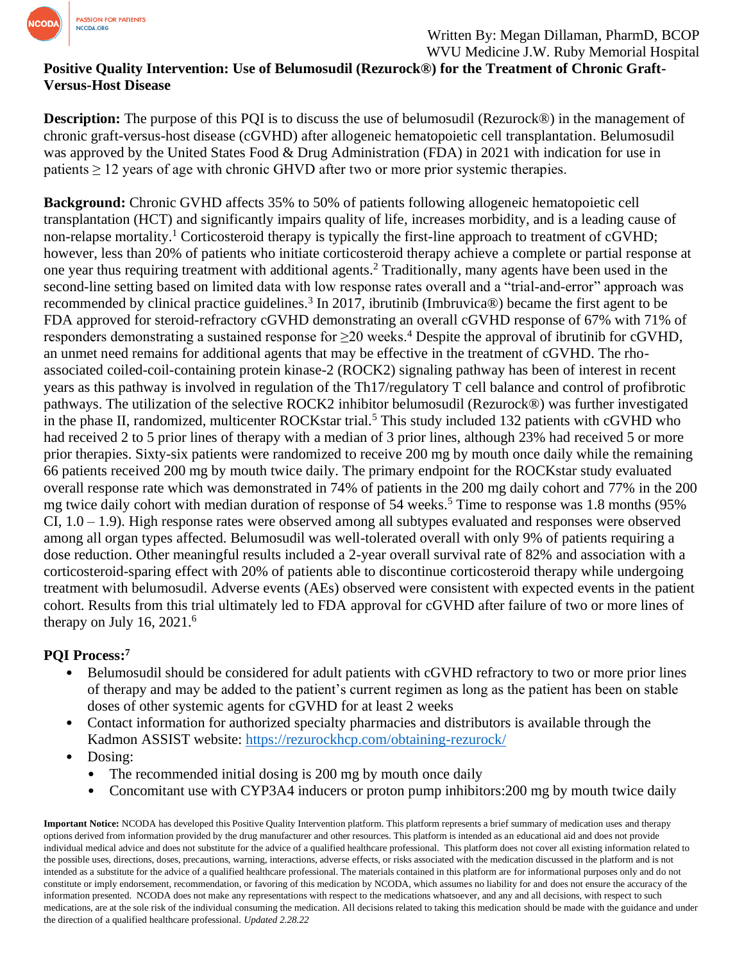

## **Positive Quality Intervention: Use of Belumosudil (Rezurock®) for the Treatment of Chronic Graft-Versus-Host Disease**

**Description:** The purpose of this PQI is to discuss the use of belumosudil (Rezurock®) in the management of chronic graft-versus-host disease (cGVHD) after allogeneic hematopoietic cell transplantation. Belumosudil was approved by the United States Food & Drug Administration (FDA) in 2021 with indication for use in patients  $\geq 12$  years of age with chronic GHVD after two or more prior systemic therapies.

**Background:** Chronic GVHD affects 35% to 50% of patients following allogeneic hematopoietic cell transplantation (HCT) and significantly impairs quality of life, increases morbidity, and is a leading cause of non-relapse mortality.<sup>1</sup> Corticosteroid therapy is typically the first-line approach to treatment of cGVHD; however, less than 20% of patients who initiate corticosteroid therapy achieve a complete or partial response at one year thus requiring treatment with additional agents.<sup>2</sup> Traditionally, many agents have been used in the second-line setting based on limited data with low response rates overall and a "trial-and-error" approach was recommended by clinical practice guidelines.<sup>3</sup> In 2017, ibrutinib (Imbruvica®) became the first agent to be FDA approved for steroid-refractory cGVHD demonstrating an overall cGVHD response of 67% with 71% of responders demonstrating a sustained response for  $\geq$ 20 weeks.<sup>4</sup> Despite the approval of ibrutinib for cGVHD, an unmet need remains for additional agents that may be effective in the treatment of cGVHD. The rhoassociated coiled-coil-containing protein kinase-2 (ROCK2) signaling pathway has been of interest in recent years as this pathway is involved in regulation of the Th17/regulatory T cell balance and control of profibrotic pathways. The utilization of the selective ROCK2 inhibitor belumosudil (Rezurock®) was further investigated in the phase II, randomized, multicenter ROCKstar trial.<sup>5</sup> This study included 132 patients with cGVHD who had received 2 to 5 prior lines of therapy with a median of 3 prior lines, although 23% had received 5 or more prior therapies. Sixty-six patients were randomized to receive 200 mg by mouth once daily while the remaining 66 patients received 200 mg by mouth twice daily. The primary endpoint for the ROCKstar study evaluated overall response rate which was demonstrated in 74% of patients in the 200 mg daily cohort and 77% in the 200 mg twice daily cohort with median duration of response of  $54$  weeks.<sup>5</sup> Time to response was 1.8 months ( $95\%$ ) CI, 1.0 – 1.9). High response rates were observed among all subtypes evaluated and responses were observed among all organ types affected. Belumosudil was well-tolerated overall with only 9% of patients requiring a dose reduction. Other meaningful results included a 2-year overall survival rate of 82% and association with a corticosteroid-sparing effect with 20% of patients able to discontinue corticosteroid therapy while undergoing treatment with belumosudil. Adverse events (AEs) observed were consistent with expected events in the patient cohort. Results from this trial ultimately led to FDA approval for cGVHD after failure of two or more lines of therapy on July 16,  $2021<sup>6</sup>$ 

## **PQI Process: 7**

- Belumosudil should be considered for adult patients with cGVHD refractory to two or more prior lines of therapy and may be added to the patient's current regimen as long as the patient has been on stable doses of other systemic agents for cGVHD for at least 2 weeks
- Contact information for authorized specialty pharmacies and distributors is available through the Kadmon ASSIST website:<https://rezurockhcp.com/obtaining-rezurock/>
- Dosing:
	- The recommended initial dosing is 200 mg by mouth once daily
	- Concomitant use with CYP3A4 inducers or proton pump inhibitors:200 mg by mouth twice daily

**Important Notice:** NCODA has developed this Positive Quality Intervention platform. This platform represents a brief summary of medication uses and therapy options derived from information provided by the drug manufacturer and other resources. This platform is intended as an educational aid and does not provide individual medical advice and does not substitute for the advice of a qualified healthcare professional. This platform does not cover all existing information related to the possible uses, directions, doses, precautions, warning, interactions, adverse effects, or risks associated with the medication discussed in the platform and is not intended as a substitute for the advice of a qualified healthcare professional. The materials contained in this platform are for informational purposes only and do not constitute or imply endorsement, recommendation, or favoring of this medication by NCODA, which assumes no liability for and does not ensure the accuracy of the information presented. NCODA does not make any representations with respect to the medications whatsoever, and any and all decisions, with respect to such medications, are at the sole risk of the individual consuming the medication. All decisions related to taking this medication should be made with the guidance and under the direction of a qualified healthcare professional. *Updated 2.28.22*